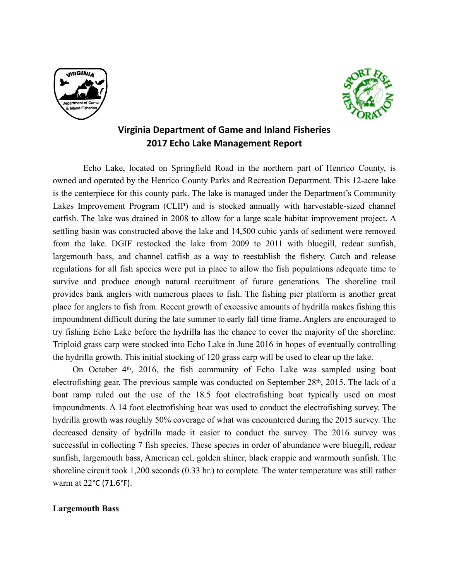



## **Virginia Department of Game and Inland Fisheries 2017 Echo Lake Management Report**

 Echo Lake, located on Springfield Road in the northern part of Henrico County, is owned and operated by the Henrico County Parks and Recreation Department. This 12-acre lake is the centerpiece for this county park. The lake is managed under the Department's Community Lakes Improvement Program (CLIP) and is stocked annually with harvestable-sized channel catfish. The lake was drained in 2008 to allow for a large scale habitat improvement project. A settling basin was constructed above the lake and 14,500 cubic yards of sediment were removed from the lake. DGIF restocked the lake from 2009 to 2011 with bluegill, redear sunfish, largemouth bass, and channel catfish as a way to reestablish the fishery. Catch and release regulations for all fish species were put in place to allow the fish populations adequate time to survive and produce enough natural recruitment of future generations. The shoreline trail provides bank anglers with numerous places to fish. The fishing pier platform is another great place for anglers to fish from. Recent growth of excessive amounts of hydrilla makes fishing this impoundment difficult during the late summer to early fall time frame. Anglers are encouraged to try fishing Echo Lake before the hydrilla has the chance to cover the majority of the shoreline. Triploid grass carp were stocked into Echo Lake in June 2016 in hopes of eventually controlling the hydrilla growth. This initial stocking of 120 grass carp will be used to clear up the lake.

On October 4th, 2016, the fish community of Echo Lake was sampled using boat electrofishing gear. The previous sample was conducted on September 28th, 2015. The lack of a boat ramp ruled out the use of the 18.5 foot electrofishing boat typically used on most impoundments. A 14 foot electrofishing boat was used to conduct the electrofishing survey. The hydrilla growth was roughly 50% coverage of what was encountered during the 2015 survey. The decreased density of hydrilla made it easier to conduct the survey. The 2016 survey was successful in collecting 7 fish species. These species in order of abundance were bluegill, redear sunfish, largemouth bass, American eel, golden shiner, black crappie and warmouth sunfish. The shoreline circuit took 1,200 seconds (0.33 hr.) to complete. The water temperature was still rather warm at 22°C (71.6°F).

## **Largemouth Bass**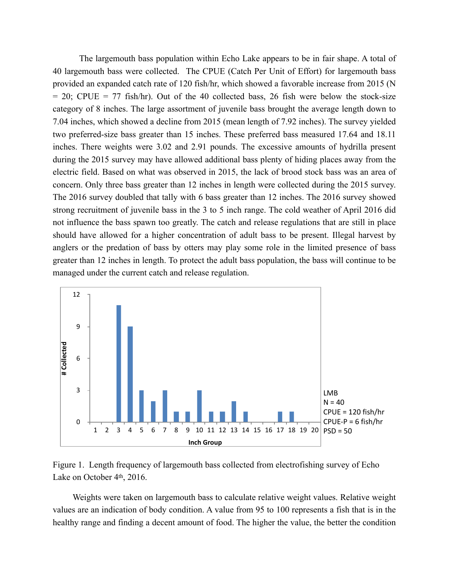The largemouth bass population within Echo Lake appears to be in fair shape. A total of 40 largemouth bass were collected. The CPUE (Catch Per Unit of Effort) for largemouth bass provided an expanded catch rate of 120 fish/hr, which showed a favorable increase from 2015 (N  $= 20$ ; CPUE  $= 77$  fish/hr). Out of the 40 collected bass, 26 fish were below the stock-size category of 8 inches. The large assortment of juvenile bass brought the average length down to 7.04 inches, which showed a decline from 2015 (mean length of 7.92 inches). The survey yielded two preferred-size bass greater than 15 inches. These preferred bass measured 17.64 and 18.11 inches. There weights were 3.02 and 2.91 pounds. The excessive amounts of hydrilla present during the 2015 survey may have allowed additional bass plenty of hiding places away from the electric field. Based on what was observed in 2015, the lack of brood stock bass was an area of concern. Only three bass greater than 12 inches in length were collected during the 2015 survey. The 2016 survey doubled that tally with 6 bass greater than 12 inches. The 2016 survey showed strong recruitment of juvenile bass in the 3 to 5 inch range. The cold weather of April 2016 did not influence the bass spawn too greatly. The catch and release regulations that are still in place should have allowed for a higher concentration of adult bass to be present. Illegal harvest by anglers or the predation of bass by otters may play some role in the limited presence of bass greater than 12 inches in length. To protect the adult bass population, the bass will continue to be managed under the current catch and release regulation.





Weights were taken on largemouth bass to calculate relative weight values. Relative weight values are an indication of body condition. A value from 95 to 100 represents a fish that is in the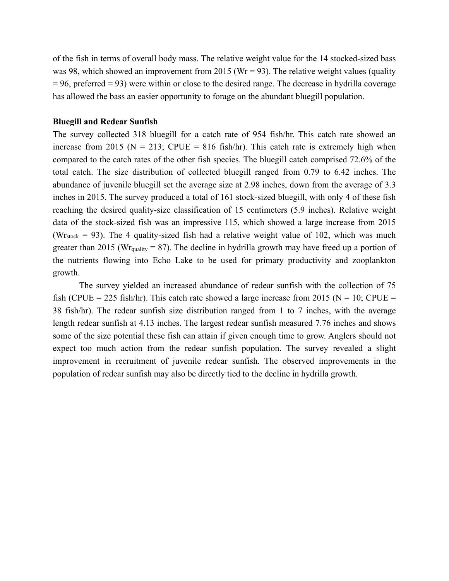of the fish in terms of overall body mass. The relative weight value for the 14 stocked-sized bass was 98, which showed an improvement from 2015 (Wr = 93). The relative weight values (quality  $= 96$ , preferred  $= 93$ ) were within or close to the desired range. The decrease in hydrilla coverage has allowed the bass an easier opportunity to forage on the abundant bluegill population.

## **Bluegill and Redear Sunfish**

The survey collected 318 bluegill for a catch rate of 954 fish/hr. This catch rate showed an increase from 2015 ( $N = 213$ ; CPUE = 816 fish/hr). This catch rate is extremely high when compared to the catch rates of the other fish species. The bluegill catch comprised 72.6% of the total catch. The size distribution of collected bluegill ranged from 0.79 to 6.42 inches. The abundance of juvenile bluegill set the average size at 2.98 inches, down from the average of 3.3 inches in 2015. The survey produced a total of 161 stock-sized bluegill, with only 4 of these fish reaching the desired quality-size classification of 15 centimeters (5.9 inches). Relative weight data of the stock-sized fish was an impressive 115, which showed a large increase from 2015 (Wr<sub>stock</sub> = 93). The 4 quality-sized fish had a relative weight value of 102, which was much greater than 2015 (Wr<sub>quality</sub> = 87). The decline in hydrilla growth may have freed up a portion of the nutrients flowing into Echo Lake to be used for primary productivity and zooplankton growth.

The survey yielded an increased abundance of redear sunfish with the collection of 75 fish (CPUE = 225 fish/hr). This catch rate showed a large increase from 2015 ( $N = 10$ ; CPUE = 38 fish/hr). The redear sunfish size distribution ranged from 1 to 7 inches, with the average length redear sunfish at 4.13 inches. The largest redear sunfish measured 7.76 inches and shows some of the size potential these fish can attain if given enough time to grow. Anglers should not expect too much action from the redear sunfish population. The survey revealed a slight improvement in recruitment of juvenile redear sunfish. The observed improvements in the population of redear sunfish may also be directly tied to the decline in hydrilla growth.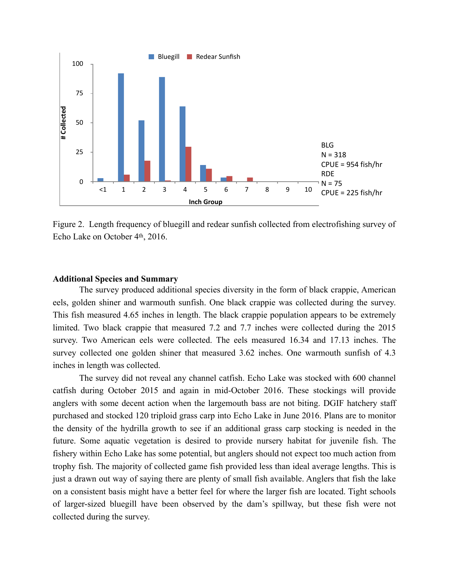

Figure 2. Length frequency of bluegill and redear sunfish collected from electrofishing survey of Echo Lake on October 4th, 2016.

## **Additional Species and Summary**

 The survey produced additional species diversity in the form of black crappie, American eels, golden shiner and warmouth sunfish. One black crappie was collected during the survey. This fish measured 4.65 inches in length. The black crappie population appears to be extremely limited. Two black crappie that measured 7.2 and 7.7 inches were collected during the 2015 survey. Two American eels were collected. The eels measured 16.34 and 17.13 inches. The survey collected one golden shiner that measured 3.62 inches. One warmouth sunfish of 4.3 inches in length was collected.

The survey did not reveal any channel catfish. Echo Lake was stocked with 600 channel catfish during October 2015 and again in mid-October 2016. These stockings will provide anglers with some decent action when the largemouth bass are not biting. DGIF hatchery staff purchased and stocked 120 triploid grass carp into Echo Lake in June 2016. Plans are to monitor the density of the hydrilla growth to see if an additional grass carp stocking is needed in the future. Some aquatic vegetation is desired to provide nursery habitat for juvenile fish. The fishery within Echo Lake has some potential, but anglers should not expect too much action from trophy fish. The majority of collected game fish provided less than ideal average lengths. This is just a drawn out way of saying there are plenty of small fish available. Anglers that fish the lake on a consistent basis might have a better feel for where the larger fish are located. Tight schools of larger-sized bluegill have been observed by the dam's spillway, but these fish were not **Example 10**<br> **Example 10**<br> **Example 10**<br> **Example 10**<br> **Example 10**<br> **Example 10**<br> **Example 10**<br> **Example 10**<br> **Example 10**<br> **Example 10**<br> **Example 10**<br> **Example 10**<br> **Example 10**<br> **Example 10**<br> **Example 2**<br> **Example 2**<br>